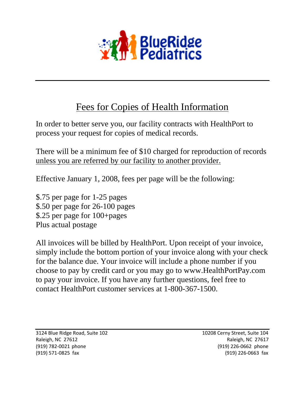

## Fees for Copies of Health Information

In order to better serve you, our facility contracts with HealthPort to process your request for copies of medical records.

There will be a minimum fee of \$10 charged for reproduction of records unless you are referred by our facility to another provider.

Effective January 1, 2008, fees per page will be the following:

\$.75 per page for 1-25 pages \$.50 per page for 26-100 pages \$.25 per page for 100+pages Plus actual postage

All invoices will be billed by HealthPort. Upon receipt of your invoice, simply include the bottom portion of your invoice along with your check for the balance due. Your invoice will include a phone number if you choose to pay by credit card or you may go to www.HealthPortPay.com to pay your invoice. If you have any further questions, feel free to contact HealthPort customer services at 1-800-367-1500.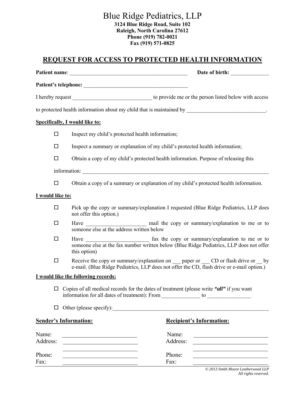## Blue Ridge Pediatrics, LLP **3124 Blue Ridge Road, Suite 102**

**Raleigh, North Carolina 27612 Phone (919) 782-0021 Fax (919) 571-0825** 

## **REQUEST FOR ACCESS TO PROTECTED HEALTH INFORMATION**

|                   |                                                                                                                                                                                      | Date of birth:                                                                                                                                                                      |  |
|-------------------|--------------------------------------------------------------------------------------------------------------------------------------------------------------------------------------|-------------------------------------------------------------------------------------------------------------------------------------------------------------------------------------|--|
|                   |                                                                                                                                                                                      |                                                                                                                                                                                     |  |
|                   |                                                                                                                                                                                      |                                                                                                                                                                                     |  |
|                   | to protected health information about my child that is maintained by __________________________.                                                                                     |                                                                                                                                                                                     |  |
|                   | <b>Specifically, I would like to:</b>                                                                                                                                                |                                                                                                                                                                                     |  |
| $\Box$            | Inspect my child's protected health information;                                                                                                                                     |                                                                                                                                                                                     |  |
| $\Box$            |                                                                                                                                                                                      | Inspect a summary or explanation of my child's protected health information;                                                                                                        |  |
| $\Box$            | Obtain a copy of my child's protected health information. Purpose of releasing this                                                                                                  |                                                                                                                                                                                     |  |
|                   |                                                                                                                                                                                      |                                                                                                                                                                                     |  |
| $\Box$            | Obtain a copy of a summary or explanation of my child's protected health information.                                                                                                |                                                                                                                                                                                     |  |
| I would like to:  |                                                                                                                                                                                      |                                                                                                                                                                                     |  |
| $\Box$            | not offer this option.)                                                                                                                                                              | Pick up the copy or summary/explanation I requested (Blue Ridge Pediatrics, LLP does                                                                                                |  |
| $\Box$            | someone else at the address written below                                                                                                                                            |                                                                                                                                                                                     |  |
| $\Box$            | someone else at the fax number written below (Blue Ridge Pediatrics, LLP does not offer<br>this option)                                                                              |                                                                                                                                                                                     |  |
| $\Box$            |                                                                                                                                                                                      | Receive the copy or summary/explanation on ___ paper or ___ CD or flash drive or __ by<br>e-mail. (Blue Ridge Pediatrics, LLP does not offer the CD, flash drive or e-mail option.) |  |
|                   | I would like the following records:                                                                                                                                                  |                                                                                                                                                                                     |  |
|                   | $\Box$ Copies of all medical records for the dates of treatment (please write "all" if you want<br>information for all dates of treatment): From ______________ to _________________ |                                                                                                                                                                                     |  |
| □                 | Other (please specify):                                                                                                                                                              |                                                                                                                                                                                     |  |
|                   | <b>Sender's Information:</b>                                                                                                                                                         | <b>Recipient's Information:</b>                                                                                                                                                     |  |
| Name:<br>Address: | <u> 1989 - Johann Stein, mars et al. 1989 - Anna ann an t-</u>                                                                                                                       | Name:<br>Address:                                                                                                                                                                   |  |
| Phone:<br>Fax:    | the control of the control of the control of the control of the control of the control of<br>the control of the control of the control of the control of the control of              | the control of the control of the control of the control of the control of the control of<br>Phone:<br>Fax:                                                                         |  |